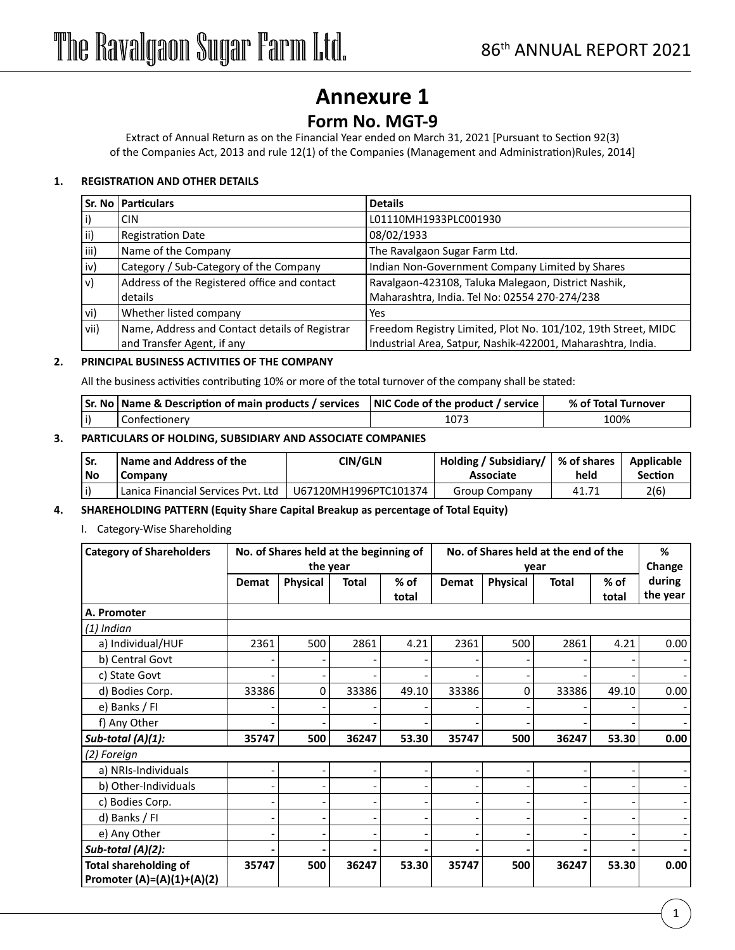### **Annexure 1**

### **Form No. MGT-9**

Extract of Annual Return as on the Financial Year ended on March 31, 2021 [Pursuant to Section 92(3) of the Companies Act, 2013 and rule 12(1) of the Companies (Management and Administration)Rules, 2014]

### **1. REGISTRATION AND OTHER DETAILS**

|      | Sr. No   Particulars                           | <b>Details</b>                                                |
|------|------------------------------------------------|---------------------------------------------------------------|
|      | <b>CIN</b>                                     | L01110MH1933PLC001930                                         |
| ii)  | <b>Registration Date</b>                       | 08/02/1933                                                    |
| iii) | Name of the Company                            | The Ravalgaon Sugar Farm Ltd.                                 |
| iv)  | Category / Sub-Category of the Company         | Indian Non-Government Company Limited by Shares               |
| lv)  | Address of the Registered office and contact   | Ravalgaon-423108, Taluka Malegaon, District Nashik,           |
|      | details                                        | Maharashtra, India. Tel No: 02554 270-274/238                 |
| vi)  | Whether listed company                         | Yes                                                           |
| vii) | Name, Address and Contact details of Registrar | Freedom Registry Limited, Plot No. 101/102, 19th Street, MIDC |
|      | and Transfer Agent, if any                     | Industrial Area, Satpur, Nashik-422001, Maharashtra, India.   |

### **2. PRINCIPAL BUSINESS ACTIVITIES OF THE COMPANY**

All the business activities contributing 10% or more of the total turnover of the company shall be stated:

| Sr. No   Name & Description of main products / services | $\blacksquare$ $\blacksquare$ NIC Code of the product / service $\blacksquare$ | % of Total Turnover |
|---------------------------------------------------------|--------------------------------------------------------------------------------|---------------------|
|                                                         | 107 <sub>z</sub>                                                               | LOO%                |

### **3. PARTICULARS OF HOLDING, SUBSIDIARY AND ASSOCIATE COMPANIES**

| ' No | <b>Name and Address of the</b><br>Company | CIN/GLN               | Holding / Subsidiary/   % of shares  <br>Associate | hela  | Applicable<br><b>Section</b> |
|------|-------------------------------------------|-----------------------|----------------------------------------------------|-------|------------------------------|
|      | ' Lanica Financial Services Pvt. Ltd      | U67120MH1996PTC101374 | Group Company                                      | 41.71 | 2(6                          |

### **4. SHAREHOLDING PATTERN (Equity Share Capital Breakup as percentage of Total Equity)**

### I. Category-Wise Shareholding

| <b>Category of Shareholders</b> |       | No. of Shares held at the beginning of |              |        | No. of Shares held at the end of the |          |              |        | %        |
|---------------------------------|-------|----------------------------------------|--------------|--------|--------------------------------------|----------|--------------|--------|----------|
|                                 |       |                                        | the year     |        |                                      |          | year         |        | Change   |
|                                 | Demat | <b>Physical</b>                        | <b>Total</b> | $%$ of | Demat                                | Physical | <b>Total</b> | $%$ of | during   |
|                                 |       |                                        |              | total  |                                      |          |              | total  | the year |
| A. Promoter                     |       |                                        |              |        |                                      |          |              |        |          |
| $(1)$ Indian                    |       |                                        |              |        |                                      |          |              |        |          |
| a) Individual/HUF               | 2361  | 500                                    | 2861         | 4.21   | 2361                                 | 500      | 2861         | 4.21   | 0.00     |
| b) Central Govt                 |       |                                        |              |        |                                      |          |              |        |          |
| c) State Govt                   |       |                                        |              |        |                                      |          |              |        |          |
| d) Bodies Corp.                 | 33386 | 0                                      | 33386        | 49.10  | 33386                                | 0        | 33386        | 49.10  | 0.00     |
| e) Banks / FI                   |       |                                        |              |        |                                      |          |              |        |          |
| f) Any Other                    |       |                                        |              |        |                                      |          |              |        |          |
| Sub-total $(A)(1)$ :            | 35747 | 500                                    | 36247        | 53.30  | 35747                                | 500      | 36247        | 53.30  | 0.00     |
| (2) Foreign                     |       |                                        |              |        |                                      |          |              |        |          |
| a) NRIs-Individuals             |       |                                        |              | -      |                                      |          |              |        |          |
| b) Other-Individuals            |       |                                        |              |        |                                      |          |              |        |          |
| c) Bodies Corp.                 |       |                                        |              |        | $\overline{a}$                       |          |              |        |          |
| d) Banks / FI                   |       |                                        |              |        |                                      |          |              |        |          |
| e) Any Other                    |       |                                        |              |        |                                      |          |              |        |          |
| Sub-total (A)(2):               |       |                                        |              |        |                                      |          |              |        |          |
| <b>Total shareholding of</b>    | 35747 | 500                                    | 36247        | 53.30  | 35747                                | 500      | 36247        | 53.30  | 0.00     |
| Promoter (A)=(A)(1)+(A)(2)      |       |                                        |              |        |                                      |          |              |        |          |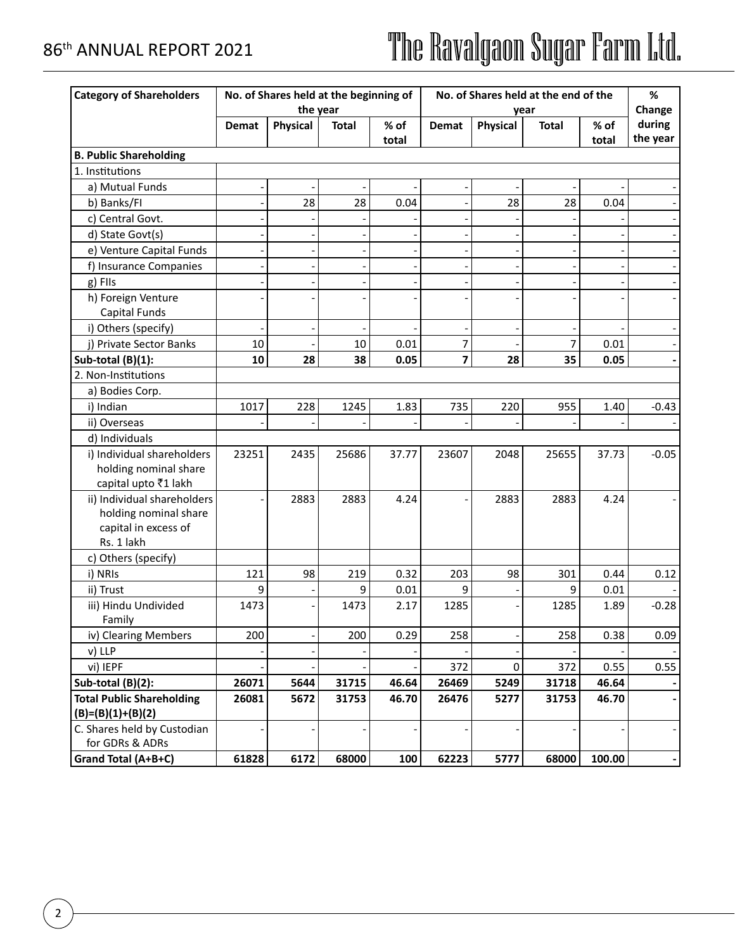| <b>Category of Shareholders</b>        |              |          | No. of Shares held at the beginning of |        | No. of Shares held at the end of the |             |                | %      |          |
|----------------------------------------|--------------|----------|----------------------------------------|--------|--------------------------------------|-------------|----------------|--------|----------|
|                                        |              | the year |                                        |        |                                      |             | year           |        | Change   |
|                                        | <b>Demat</b> | Physical | <b>Total</b>                           | $%$ of | Demat                                | Physical    | <b>Total</b>   | $%$ of | during   |
|                                        |              |          |                                        | total  |                                      |             |                | total  | the year |
| <b>B. Public Shareholding</b>          |              |          |                                        |        |                                      |             |                |        |          |
| 1. Institutions                        |              |          |                                        |        |                                      |             |                |        |          |
| a) Mutual Funds                        |              |          |                                        |        |                                      |             |                |        |          |
| b) Banks/FI                            |              | 28       | 28                                     | 0.04   |                                      | 28          | 28             | 0.04   |          |
| c) Central Govt.                       |              |          |                                        |        |                                      |             |                |        |          |
| d) State Govt(s)                       |              |          |                                        |        |                                      |             |                |        |          |
| e) Venture Capital Funds               |              |          |                                        |        |                                      |             |                |        |          |
| f) Insurance Companies                 |              |          |                                        |        |                                      |             |                |        |          |
| g) Fils                                |              |          |                                        |        |                                      |             |                |        |          |
| h) Foreign Venture                     |              |          |                                        |        |                                      |             |                |        |          |
| Capital Funds                          |              |          |                                        |        |                                      |             |                |        |          |
| i) Others (specify)                    |              |          |                                        |        |                                      |             |                |        |          |
| j) Private Sector Banks                | 10           |          | 10                                     | 0.01   | 7                                    |             | $\overline{7}$ | 0.01   |          |
| Sub-total (B)(1):                      | 10           | 28       | 38                                     | 0.05   | 7                                    | 28          | 35             | 0.05   |          |
| 2. Non-Institutions                    |              |          |                                        |        |                                      |             |                |        |          |
| a) Bodies Corp.                        |              |          |                                        |        |                                      |             |                |        |          |
| i) Indian                              | 1017         | 228      | 1245                                   | 1.83   | 735                                  | 220         | 955            | 1.40   | $-0.43$  |
| ii) Overseas                           |              |          |                                        |        |                                      |             |                |        |          |
| d) Individuals                         |              |          |                                        |        |                                      |             |                |        |          |
| i) Individual shareholders             | 23251        | 2435     | 25686                                  | 37.77  | 23607                                | 2048        | 25655          | 37.73  | $-0.05$  |
| holding nominal share                  |              |          |                                        |        |                                      |             |                |        |          |
| capital upto ₹1 lakh                   |              |          |                                        |        |                                      |             |                |        |          |
| ii) Individual shareholders            |              | 2883     | 2883                                   | 4.24   |                                      | 2883        | 2883           | 4.24   |          |
| holding nominal share                  |              |          |                                        |        |                                      |             |                |        |          |
| capital in excess of                   |              |          |                                        |        |                                      |             |                |        |          |
| Rs. 1 lakh                             |              |          |                                        |        |                                      |             |                |        |          |
| c) Others (specify)                    |              |          |                                        |        |                                      |             |                |        |          |
| i) NRIs                                | 121          | 98       | 219                                    | 0.32   | 203                                  | 98          | 301            | 0.44   | 0.12     |
| ii) Trust                              | 9            |          | 9                                      | 0.01   | 9                                    |             | 9              | 0.01   |          |
| iii) Hindu Undivided                   | 1473         |          | 1473                                   | 2.17   | 1285                                 |             | 1285           | 1.89   | $-0.28$  |
| Family                                 |              |          |                                        |        |                                      |             |                |        |          |
| iv) Clearing Members                   | 200          |          | 200                                    | 0.29   | 258                                  |             | 258            | 0.38   | 0.09     |
| v) LLP                                 |              |          |                                        |        |                                      |             |                |        |          |
| vi) IEPF                               |              |          |                                        |        | 372                                  | $\mathbf 0$ | 372            | 0.55   | 0.55     |
| Sub-total (B)(2):                      | 26071        | 5644     | 31715                                  | 46.64  | 26469                                | 5249        | 31718          | 46.64  |          |
| <b>Total Public Shareholding</b>       | 26081        | 5672     | 31753                                  | 46.70  | 26476                                | 5277        | 31753          | 46.70  |          |
| $(B)=(B)(1)+(B)(2)$                    |              |          |                                        |        |                                      |             |                |        |          |
| C. Shares held by Custodian            |              |          |                                        |        |                                      |             |                |        |          |
|                                        |              |          |                                        |        |                                      |             |                |        |          |
| for GDRs & ADRs<br>Grand Total (A+B+C) | 61828        | 6172     | 68000                                  | 100    | 62223                                | 5777        | 68000          | 100.00 |          |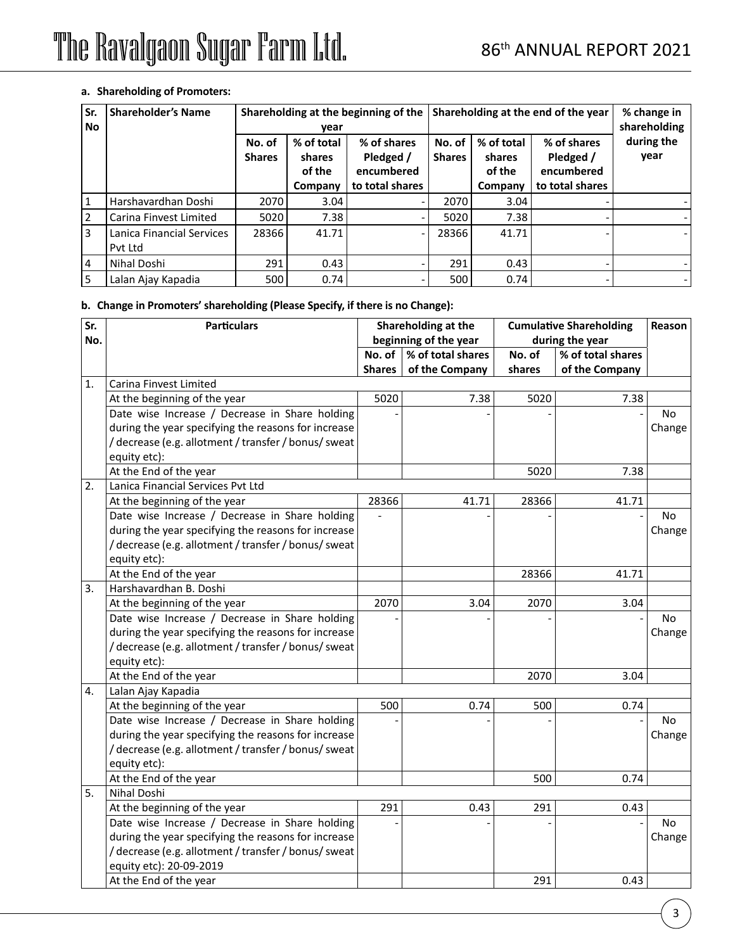### **a. Shareholding of Promoters:**

| Sr.<br>No.     | <b>Shareholder's Name</b>            | Shareholding at the end of the year<br>Shareholding at the beginning of the<br>year |                                           |                                                           |                         | % change in<br>shareholding               |                                                           |                    |
|----------------|--------------------------------------|-------------------------------------------------------------------------------------|-------------------------------------------|-----------------------------------------------------------|-------------------------|-------------------------------------------|-----------------------------------------------------------|--------------------|
|                |                                      | No. of<br><b>Shares</b>                                                             | % of total<br>shares<br>of the<br>Company | % of shares<br>Pledged /<br>encumbered<br>to total shares | No. of<br><b>Shares</b> | % of total<br>shares<br>of the<br>Company | % of shares<br>Pledged /<br>encumbered<br>to total shares | during the<br>year |
|                | Harshavardhan Doshi                  | 2070                                                                                | 3.04                                      |                                                           | 2070                    | 3.04                                      |                                                           |                    |
| 2              | Carina Finvest Limited               | 5020                                                                                | 7.38                                      |                                                           | 5020                    | 7.38                                      |                                                           |                    |
| 3              | Lanica Financial Services<br>Pyt Ltd | 28366                                                                               | 41.71                                     |                                                           | 28366                   | 41.71                                     |                                                           |                    |
| $\overline{4}$ | Nihal Doshi                          | 291                                                                                 | 0.43                                      |                                                           | 291                     | 0.43                                      |                                                           |                    |
| 5              | Lalan Ajay Kapadia                   | 500                                                                                 | 0.74                                      |                                                           | 500                     | 0.74                                      |                                                           |                    |

### **b. Change in Promoters' shareholding (Please Specify, if there is no Change):**

| Sr. | <b>Particulars</b>                                   |               | Shareholding at the<br>beginning of the year |        | <b>Cumulative Shareholding</b>       | Reason    |
|-----|------------------------------------------------------|---------------|----------------------------------------------|--------|--------------------------------------|-----------|
| No. |                                                      | No. of        | % of total shares                            | No. of | during the year<br>% of total shares |           |
|     |                                                      | <b>Shares</b> | of the Company                               | shares | of the Company                       |           |
| 1.  | Carina Finvest Limited                               |               |                                              |        |                                      |           |
|     | At the beginning of the year                         | 5020          | 7.38                                         | 5020   | 7.38                                 |           |
|     | Date wise Increase / Decrease in Share holding       |               |                                              |        |                                      | No.       |
|     | during the year specifying the reasons for increase  |               |                                              |        |                                      | Change    |
|     | / decrease (e.g. allotment / transfer / bonus/ sweat |               |                                              |        |                                      |           |
|     | equity etc):                                         |               |                                              |        |                                      |           |
|     | At the End of the year                               |               |                                              | 5020   | 7.38                                 |           |
| 2.  | Lanica Financial Services Pvt Ltd                    |               |                                              |        |                                      |           |
|     | At the beginning of the year                         | 28366         | 41.71                                        | 28366  | 41.71                                |           |
|     | Date wise Increase / Decrease in Share holding       |               |                                              |        |                                      | <b>No</b> |
|     | during the year specifying the reasons for increase  |               |                                              |        |                                      | Change    |
|     | / decrease (e.g. allotment / transfer / bonus/ sweat |               |                                              |        |                                      |           |
|     | equity etc):                                         |               |                                              |        |                                      |           |
|     | At the End of the year                               |               |                                              | 28366  | 41.71                                |           |
| 3.  | Harshavardhan B. Doshi                               |               |                                              |        |                                      |           |
|     | At the beginning of the year                         | 2070          | 3.04                                         | 2070   | 3.04                                 |           |
|     | Date wise Increase / Decrease in Share holding       |               |                                              |        |                                      | <b>No</b> |
|     | during the year specifying the reasons for increase  |               |                                              |        |                                      | Change    |
|     | / decrease (e.g. allotment / transfer / bonus/ sweat |               |                                              |        |                                      |           |
|     | equity etc):                                         |               |                                              |        |                                      |           |
|     | At the End of the year                               |               |                                              | 2070   | 3.04                                 |           |
| 4.  | Lalan Ajay Kapadia                                   |               |                                              |        |                                      |           |
|     | At the beginning of the year                         | 500           | 0.74                                         | 500    | 0.74                                 |           |
|     | Date wise Increase / Decrease in Share holding       |               |                                              |        |                                      | No.       |
|     | during the year specifying the reasons for increase  |               |                                              |        |                                      | Change    |
|     | / decrease (e.g. allotment / transfer / bonus/ sweat |               |                                              |        |                                      |           |
|     | equity etc):                                         |               |                                              |        |                                      |           |
|     | At the End of the year                               |               |                                              | 500    | 0.74                                 |           |
| 5.  | <b>Nihal Doshi</b>                                   |               |                                              |        |                                      |           |
|     | At the beginning of the year                         | 291           | 0.43                                         | 291    | 0.43                                 |           |
|     | Date wise Increase / Decrease in Share holding       |               |                                              |        |                                      | No        |
|     | during the year specifying the reasons for increase  |               |                                              |        |                                      | Change    |
|     | / decrease (e.g. allotment / transfer / bonus/ sweat |               |                                              |        |                                      |           |
|     | equity etc): 20-09-2019                              |               |                                              |        |                                      |           |
|     | At the End of the year                               |               |                                              | 291    | 0.43                                 |           |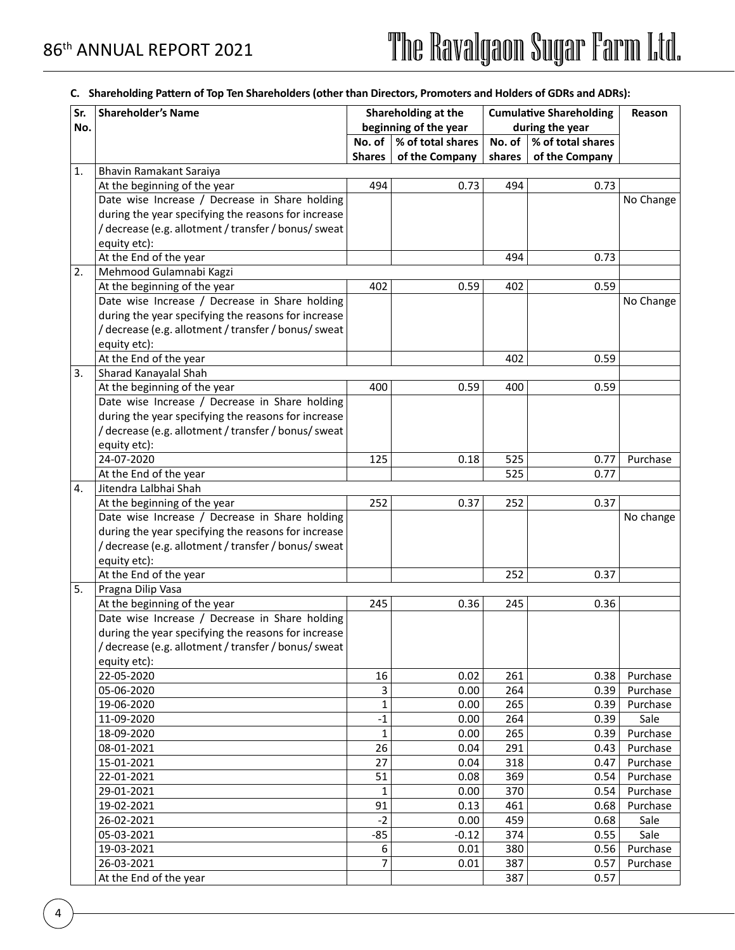### **C. Shareholding Pattern of Top Ten Shareholders (other than Directors, Promoters and Holders of GDRs and ADRs):**

| Sr. | <b>Shareholder's Name</b>                            | Shareholding at the |                       | <b>Cumulative Shareholding</b> |                   | Reason    |
|-----|------------------------------------------------------|---------------------|-----------------------|--------------------------------|-------------------|-----------|
| No. |                                                      |                     | beginning of the year |                                | during the year   |           |
|     |                                                      | No. of              | % of total shares     | No. of $ $                     | % of total shares |           |
|     |                                                      | <b>Shares</b>       | of the Company        | shares                         | of the Company    |           |
| 1.  | Bhavin Ramakant Saraiya                              |                     |                       |                                |                   |           |
|     | At the beginning of the year                         | 494                 | 0.73                  | 494                            | 0.73              |           |
|     | Date wise Increase / Decrease in Share holding       |                     |                       |                                |                   | No Change |
|     | during the year specifying the reasons for increase  |                     |                       |                                |                   |           |
|     | / decrease (e.g. allotment / transfer / bonus/ sweat |                     |                       |                                |                   |           |
|     | equity etc):                                         |                     |                       |                                |                   |           |
|     | At the End of the year                               |                     |                       | 494                            | 0.73              |           |
| 2.  | Mehmood Gulamnabi Kagzi                              |                     |                       |                                |                   |           |
|     | At the beginning of the year                         | 402                 | 0.59                  | 402                            | 0.59              |           |
|     | Date wise Increase / Decrease in Share holding       |                     |                       |                                |                   | No Change |
|     | during the year specifying the reasons for increase  |                     |                       |                                |                   |           |
|     | /decrease (e.g. allotment / transfer / bonus/ sweat  |                     |                       |                                |                   |           |
|     | equity etc):                                         |                     |                       |                                |                   |           |
|     | At the End of the year                               |                     |                       | 402                            | 0.59              |           |
| 3.  | Sharad Kanayalal Shah                                |                     |                       |                                |                   |           |
|     | At the beginning of the year                         | 400                 | 0.59                  | 400                            | 0.59              |           |
|     | Date wise Increase / Decrease in Share holding       |                     |                       |                                |                   |           |
|     | during the year specifying the reasons for increase  |                     |                       |                                |                   |           |
|     | /decrease (e.g. allotment / transfer / bonus/ sweat  |                     |                       |                                |                   |           |
|     | equity etc):                                         |                     |                       |                                |                   |           |
|     | 24-07-2020                                           | 125                 | 0.18                  | 525                            | 0.77              | Purchase  |
|     | At the End of the year                               |                     |                       | 525                            | 0.77              |           |
| 4.  | Jitendra Lalbhai Shah                                |                     |                       |                                |                   |           |
|     | At the beginning of the year                         | 252                 | 0.37                  | 252                            | 0.37              |           |
|     | Date wise Increase / Decrease in Share holding       |                     |                       |                                |                   | No change |
|     | during the year specifying the reasons for increase  |                     |                       |                                |                   |           |
|     | /decrease (e.g. allotment / transfer / bonus/ sweat  |                     |                       |                                |                   |           |
|     | equity etc):                                         |                     |                       |                                |                   |           |
|     | At the End of the year                               |                     |                       | 252                            | 0.37              |           |
| 5.  | Pragna Dilip Vasa                                    |                     |                       |                                |                   |           |
|     | At the beginning of the year                         | 245                 | 0.36                  | 245                            | 0.36              |           |
|     | Date wise Increase / Decrease in Share holding       |                     |                       |                                |                   |           |
|     | during the year specifying the reasons for increase  |                     |                       |                                |                   |           |
|     | / decrease (e.g. allotment / transfer / bonus/ sweat |                     |                       |                                |                   |           |
|     | equity etc):                                         |                     |                       |                                |                   |           |
|     | 22-05-2020                                           | 16                  | 0.02                  | 261                            | 0.38              | Purchase  |
|     | 05-06-2020                                           | $\mathbf{3}$        | 0.00                  | 264                            | 0.39              | Purchase  |
|     | 19-06-2020                                           | $\mathbf{1}$        | 0.00                  | 265                            | 0.39              | Purchase  |
|     | 11-09-2020                                           | $-1$                | 0.00                  | 264                            | 0.39              | Sale      |
|     | 18-09-2020                                           | $\mathbf{1}$        | 0.00                  | 265                            | 0.39              | Purchase  |
|     | 08-01-2021                                           | 26                  | 0.04                  | 291                            | 0.43              | Purchase  |
|     | 15-01-2021                                           | 27                  | 0.04                  | 318                            | 0.47              | Purchase  |
|     | 22-01-2021                                           | 51                  | 0.08                  | 369                            | 0.54              | Purchase  |
|     | 29-01-2021                                           | $\mathbf{1}$        | 0.00                  | 370                            | 0.54              | Purchase  |
|     | 19-02-2021                                           | 91                  | 0.13                  | 461                            | 0.68              | Purchase  |
|     | 26-02-2021                                           | $-2$                | 0.00                  | 459                            | 0.68              | Sale      |
|     | 05-03-2021                                           | $-85$               | $-0.12$               | 374                            | 0.55              | Sale      |
|     | 19-03-2021                                           | 6                   |                       | 380                            | 0.56              |           |
|     |                                                      | $\overline{7}$      | 0.01                  |                                | 0.57              | Purchase  |
|     | 26-03-2021                                           |                     | 0.01                  | 387                            |                   | Purchase  |
|     | At the End of the year                               |                     |                       | 387                            | 0.57              |           |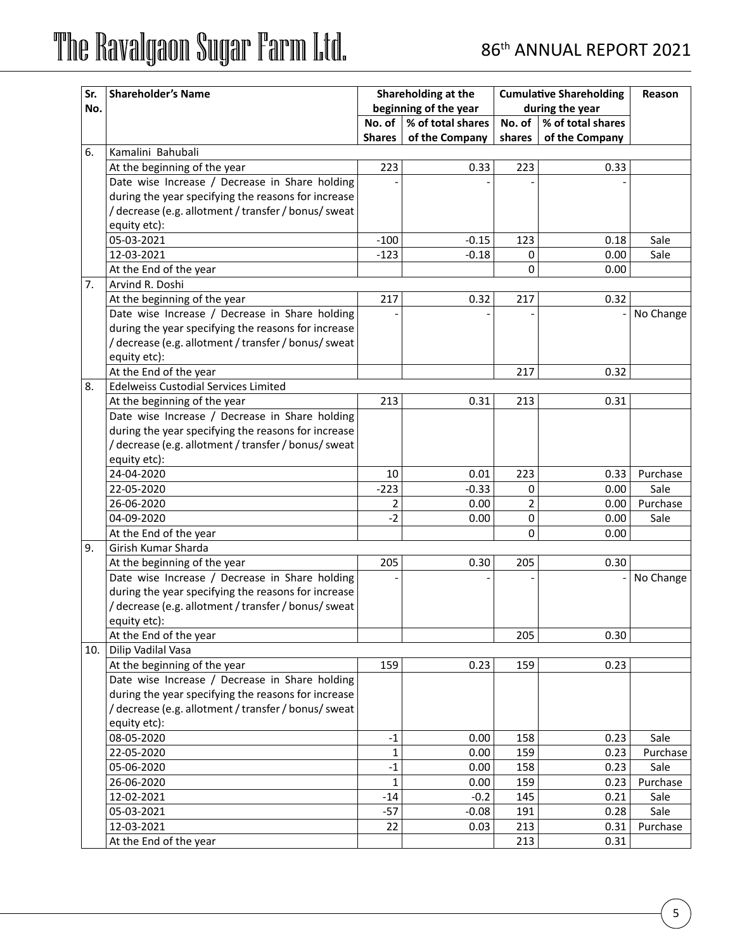| Sr. | <b>Shareholder's Name</b>                            | Shareholding at the |                       | <b>Cumulative Shareholding</b> | Reason            |           |
|-----|------------------------------------------------------|---------------------|-----------------------|--------------------------------|-------------------|-----------|
| No. |                                                      |                     | beginning of the year |                                | during the year   |           |
|     |                                                      | No. of              | % of total shares     | No. of $\ $                    | % of total shares |           |
|     |                                                      | <b>Shares</b>       | of the Company        | shares                         | of the Company    |           |
| 6.  | Kamalini Bahubali                                    |                     |                       |                                |                   |           |
|     | At the beginning of the year                         | 223                 | 0.33                  | 223                            | 0.33              |           |
|     | Date wise Increase / Decrease in Share holding       |                     |                       |                                |                   |           |
|     | during the year specifying the reasons for increase  |                     |                       |                                |                   |           |
|     | / decrease (e.g. allotment / transfer / bonus/ sweat |                     |                       |                                |                   |           |
|     | equity etc):                                         |                     |                       |                                |                   |           |
|     | 05-03-2021                                           | $-100$              | $-0.15$               | 123                            | 0.18              | Sale      |
|     | 12-03-2021                                           | $-123$              | $-0.18$               | 0                              | 0.00              | Sale      |
|     | At the End of the year                               |                     |                       | 0                              | 0.00              |           |
| 7.  | Arvind R. Doshi                                      |                     |                       |                                |                   |           |
|     | At the beginning of the year                         | 217                 | 0.32                  | 217                            | 0.32              |           |
|     | Date wise Increase / Decrease in Share holding       |                     |                       |                                |                   | No Change |
|     | during the year specifying the reasons for increase  |                     |                       |                                |                   |           |
|     | /decrease (e.g. allotment / transfer / bonus/ sweat  |                     |                       |                                |                   |           |
|     | equity etc):                                         |                     |                       |                                |                   |           |
|     | At the End of the year                               |                     |                       | 217                            | 0.32              |           |
| 8.  | <b>Edelweiss Custodial Services Limited</b>          |                     |                       |                                |                   |           |
|     | At the beginning of the year                         | 213                 | 0.31                  | 213                            | 0.31              |           |
|     | Date wise Increase / Decrease in Share holding       |                     |                       |                                |                   |           |
|     | during the year specifying the reasons for increase  |                     |                       |                                |                   |           |
|     | /decrease (e.g. allotment / transfer / bonus/ sweat  |                     |                       |                                |                   |           |
|     | equity etc):                                         |                     |                       |                                |                   |           |
|     | 24-04-2020                                           | 10                  | 0.01                  | 223                            | 0.33              | Purchase  |
|     | 22-05-2020                                           | $-223$              | $-0.33$               | 0                              | 0.00              | Sale      |
|     | 26-06-2020                                           | 2                   | 0.00                  | $\overline{2}$                 | 0.00              | Purchase  |
|     | 04-09-2020                                           | $-2$                | 0.00                  | 0                              | 0.00              | Sale      |
|     | At the End of the year                               |                     |                       | 0                              | 0.00              |           |
| 9.  | Girish Kumar Sharda                                  |                     |                       |                                |                   |           |
|     | At the beginning of the year                         | 205                 | 0.30                  | 205                            | 0.30              |           |
|     | Date wise Increase / Decrease in Share holding       |                     |                       |                                |                   | No Change |
|     | during the year specifying the reasons for increase  |                     |                       |                                |                   |           |
|     | / decrease (e.g. allotment / transfer / bonus/ sweat |                     |                       |                                |                   |           |
|     | equity etc):                                         |                     |                       |                                |                   |           |
|     | At the End of the year                               |                     |                       | 205                            | 0.30              |           |
| 10. | Dilip Vadilal Vasa                                   |                     |                       |                                |                   |           |
|     | At the beginning of the year                         | 159                 | 0.23                  | 159                            | 0.23              |           |
|     | Date wise Increase / Decrease in Share holding       |                     |                       |                                |                   |           |
|     | during the year specifying the reasons for increase  |                     |                       |                                |                   |           |
|     | /decrease (e.g. allotment / transfer / bonus/ sweat  |                     |                       |                                |                   |           |
|     | equity etc):                                         |                     |                       |                                |                   |           |
|     | 08-05-2020                                           | $-1$                | 0.00                  | 158                            | 0.23              | Sale      |
|     | 22-05-2020                                           | 1                   | 0.00                  | 159                            | 0.23              | Purchase  |
|     | 05-06-2020                                           | $-1$                | 0.00                  | 158                            | 0.23              | Sale      |
|     | 26-06-2020                                           | $\mathbf 1$         | 0.00                  | 159                            | 0.23              | Purchase  |
|     | 12-02-2021                                           | $-14$               | $-0.2$                | 145                            | 0.21              | Sale      |
|     | 05-03-2021                                           | $-57$               | $-0.08$               | 191                            | 0.28              | Sale      |
|     | 12-03-2021                                           | 22                  | 0.03                  | 213                            | 0.31              | Purchase  |
|     | At the End of the year                               |                     |                       | 213                            | 0.31              |           |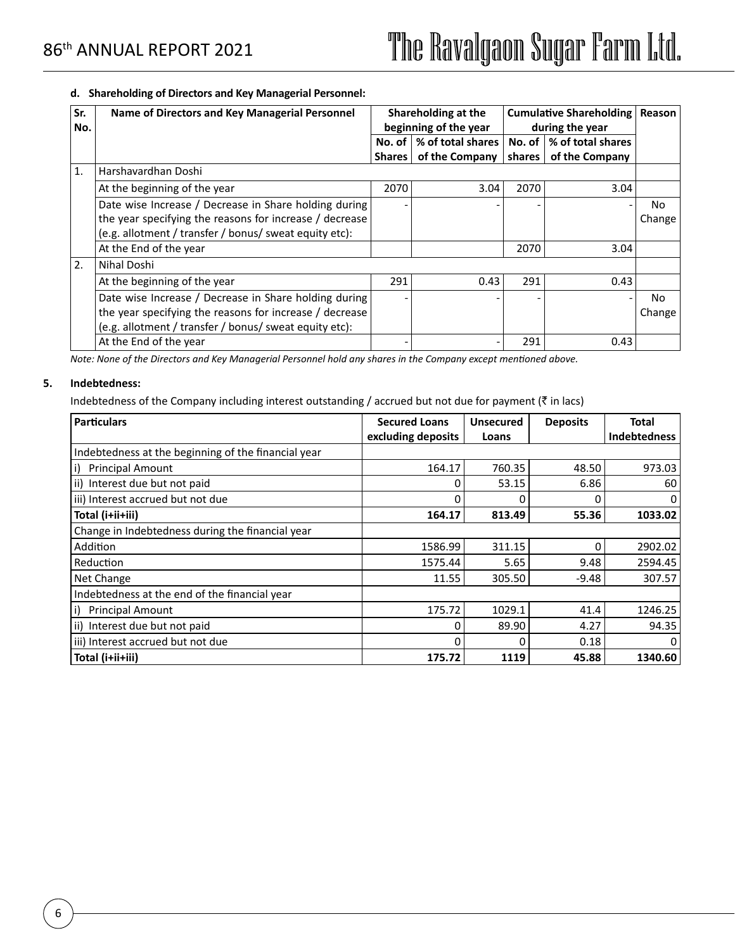### **d. Shareholding of Directors and Key Managerial Personnel:**

| Sr.<br>No. | Name of Directors and Key Managerial Personnel          | Shareholding at the<br>beginning of the year |                   | <b>Cumulative Shareholding</b><br>during the year | Reason                           |        |
|------------|---------------------------------------------------------|----------------------------------------------|-------------------|---------------------------------------------------|----------------------------------|--------|
|            |                                                         | No. of                                       | % of total shares |                                                   | No. of $\vert\%$ of total shares |        |
|            |                                                         | <b>Shares</b>                                | of the Company    | shares                                            | of the Company                   |        |
| 1.         | Harshavardhan Doshi                                     |                                              |                   |                                                   |                                  |        |
|            | At the beginning of the year                            | 2070                                         | 3.04              | 2070                                              | 3.04                             |        |
|            | Date wise Increase / Decrease in Share holding during   |                                              |                   |                                                   |                                  | No     |
|            | the year specifying the reasons for increase / decrease |                                              |                   |                                                   |                                  | Change |
|            | (e.g. allotment / transfer / bonus/ sweat equity etc):  |                                              |                   |                                                   |                                  |        |
|            | At the End of the year                                  |                                              |                   | 2070                                              | 3.04                             |        |
| 2.         | Nihal Doshi                                             |                                              |                   |                                                   |                                  |        |
|            | At the beginning of the year                            | 291                                          | 0.43              | 291                                               | 0.43                             |        |
|            | Date wise Increase / Decrease in Share holding during   |                                              |                   |                                                   | ٠                                | No     |
|            | the year specifying the reasons for increase / decrease |                                              |                   |                                                   |                                  | Change |
|            | (e.g. allotment / transfer / bonus/ sweat equity etc):  |                                              |                   |                                                   |                                  |        |
|            | At the End of the year                                  |                                              |                   | 291                                               | 0.43                             |        |

*Note: None of the Directors and Key Managerial Personnel hold any shares in the Company except mentioned above.*

### **5. Indebtedness:**

Indebtedness of the Company including interest outstanding / accrued but not due for payment ( $\bar{z}$  in lacs)

| <b>Particulars</b>                                  | <b>Secured Loans</b> | <b>Unsecured</b> | <b>Deposits</b> | Total               |
|-----------------------------------------------------|----------------------|------------------|-----------------|---------------------|
|                                                     | excluding deposits   | Loans            |                 | <b>Indebtedness</b> |
| Indebtedness at the beginning of the financial year |                      |                  |                 |                     |
| $\vert i \rangle$<br><b>Principal Amount</b>        | 164.17               | 760.35           | 48.50           | 973.03              |
| ii) Interest due but not paid                       |                      | 53.15            | 6.86            | 60                  |
| iii) Interest accrued but not due                   |                      | 0                | 0               | 0                   |
| Total (i+ii+iii)                                    | 164.17               | 813.49           | 55.36           | 1033.02             |
| Change in Indebtedness during the financial year    |                      |                  |                 |                     |
| Addition                                            | 1586.99              | 311.15           | 0               | 2902.02             |
| Reduction                                           | 1575.44              | 5.65             | 9.48            | 2594.45             |
| Net Change                                          | 11.55                | 305.50           | $-9.48$         | 307.57              |
| Indebtedness at the end of the financial year       |                      |                  |                 |                     |
| i)<br><b>Principal Amount</b>                       | 175.72               | 1029.1           | 41.4            | 1246.25             |
| ii) Interest due but not paid                       |                      | 89.90            | 4.27            | 94.35               |
| iii) Interest accrued but not due                   |                      | O                | 0.18            | 0                   |
| Total (i+ii+iii)                                    | 175.72               | 1119             | 45.88           | 1340.60             |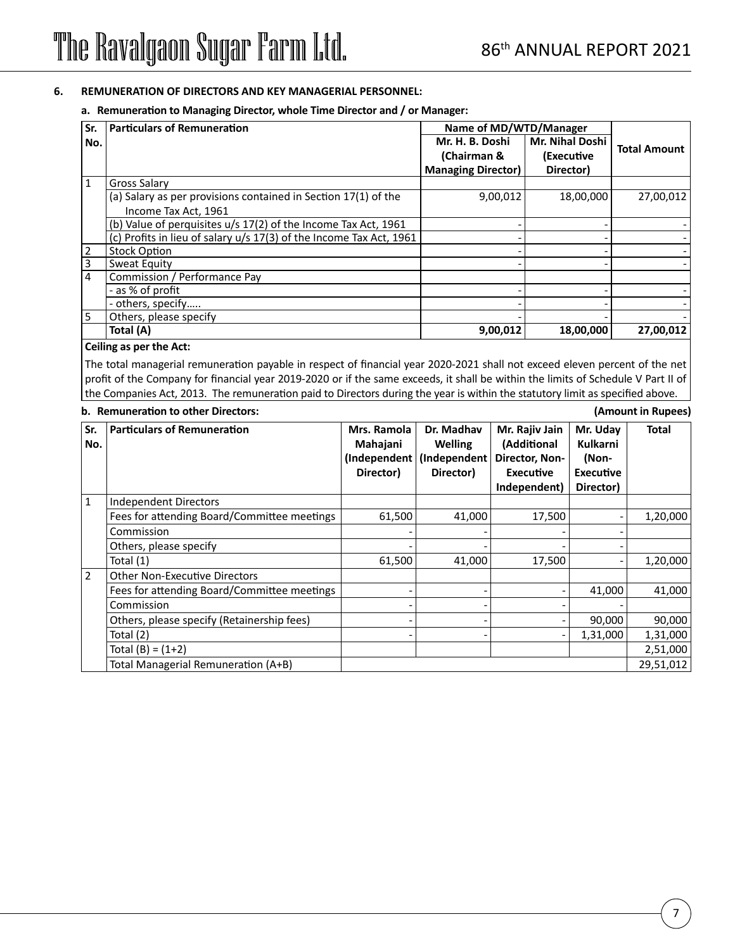### **6. REMUNERATION OF DIRECTORS AND KEY MANAGERIAL PERSONNEL:**

### **a. Remuneration to Managing Director, whole Time Director and / or Manager:**

| $\overline{\mathsf{Sr.}}$ | <b>Particulars of Remuneration</b>                                  | Name of MD/WTD/Manager    |                        |                     |
|---------------------------|---------------------------------------------------------------------|---------------------------|------------------------|---------------------|
| l No.                     |                                                                     | Mr. H. B. Doshi           | <b>Mr. Nihal Doshi</b> | <b>Total Amount</b> |
|                           |                                                                     | (Chairman &               | (Executive             |                     |
|                           |                                                                     | <b>Managing Director)</b> | Director)              |                     |
| 1                         | <b>Gross Salary</b>                                                 |                           |                        |                     |
|                           | (a) Salary as per provisions contained in Section 17(1) of the      | 9,00,012                  | 18,00,000              | 27,00,012           |
|                           | Income Tax Act, 1961                                                |                           |                        |                     |
|                           | (b) Value of perquisites u/s 17(2) of the Income Tax Act, 1961      |                           |                        |                     |
|                           | (c) Profits in lieu of salary u/s 17(3) of the Income Tax Act, 1961 |                           |                        |                     |
| $\vert$ 2                 | <b>Stock Option</b>                                                 |                           |                        |                     |
| $\overline{3}$            | Sweat Equity                                                        |                           |                        |                     |
| $\overline{4}$            | Commission / Performance Pay                                        |                           |                        |                     |
|                           | - as % of profit                                                    |                           |                        |                     |
|                           | - others, specify                                                   |                           |                        |                     |
| l 5                       | Others, please specify                                              |                           |                        |                     |
|                           | Total (A)                                                           | 9,00,012                  | 18,00,000              | 27,00,012           |

#### **Ceiling as per the Act:**

The total managerial remuneration payable in respect of financial year 2020-2021 shall not exceed eleven percent of the net profit of the Company for financial year 2019-2020 or if the same exceeds, it shall be within the limits of Schedule V Part II of the Companies Act, 2013. The remuneration paid to Directors during the year is within the statutory limit as specified above.

#### **b. Remuneration to other Directors: (Amount in Rupees)**

**Sr. No.** Particulars of Remuneration **Mrs. Ramola Mahajani (Independent (Independent Director) Dr. Madhav Welling Director) Mr. Rajiv Jain (Additional Director, Non-Executive Independent) Mr. Uday Kulkarni (Non-Executive Director) Total** 1 | Independent Directors Fees for attending Board/Committee meetings  $\vert$  61,500  $\vert$  41,000 17,500  $\vert$  - 1,20,000 Commission - - - - Others, please specify Total (1) 61,500 41,000 17,500 - 1,20,000 2 **Other Non-Executive Directors** Fees for attending Board/Committee meetings - - - 41,000 41,000 Commission - - - - Others, please specify (Retainership fees)  $\begin{vmatrix} 1 & 1 \end{vmatrix}$  -  $\begin{vmatrix} -1 & 1 \end{vmatrix}$  -  $\begin{vmatrix} 90,000 \end{vmatrix}$  90,000 Total (2) - - - 1,31,000 1,31,000 Total (B) = (1+2) 2,51,000 Total Managerial Remuneration (A+B) 29,51,012